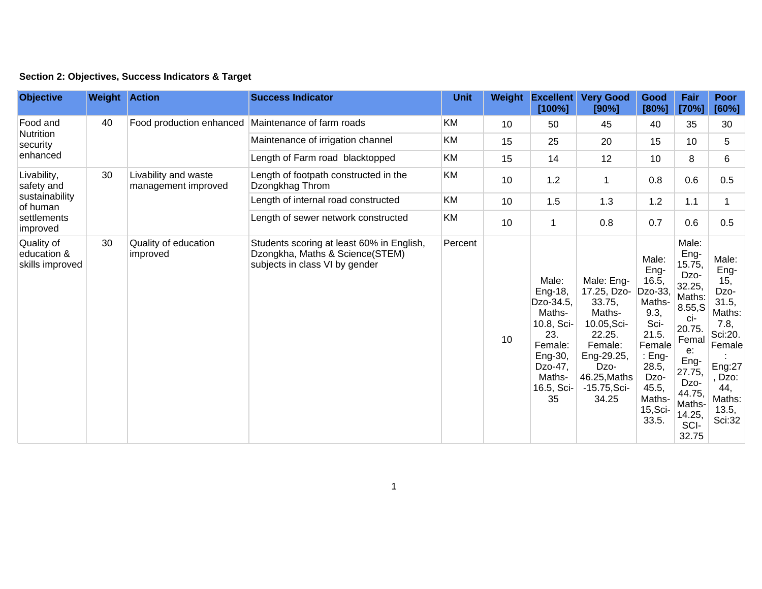|  | Section 2: Objectives, Success Indicators & Target |  |  |  |  |
|--|----------------------------------------------------|--|--|--|--|
|--|----------------------------------------------------|--|--|--|--|

| <b>Objective</b>                                                                   | <b>Weight Action</b> |                                                    | <b>Success Indicator</b>                                                                                       | <b>Unit</b> | Weight | <b>Excellent</b><br>[100%]                                                                                                  | <b>Very Good</b><br>[90%]                                                                                                                           | Good<br>[80%]                                                                                                                                       | Fair<br>[70%]                                                                                                                                                              | <b>Poor</b><br>[60%]                                                                                                               |
|------------------------------------------------------------------------------------|----------------------|----------------------------------------------------|----------------------------------------------------------------------------------------------------------------|-------------|--------|-----------------------------------------------------------------------------------------------------------------------------|-----------------------------------------------------------------------------------------------------------------------------------------------------|-----------------------------------------------------------------------------------------------------------------------------------------------------|----------------------------------------------------------------------------------------------------------------------------------------------------------------------------|------------------------------------------------------------------------------------------------------------------------------------|
| Food and<br>Nutrition<br>security<br>enhanced                                      | 40                   | Food production enhanced Maintenance of farm roads |                                                                                                                | <b>KM</b>   | 10     | 50                                                                                                                          | 45                                                                                                                                                  | 40                                                                                                                                                  | 35                                                                                                                                                                         | 30                                                                                                                                 |
|                                                                                    |                      |                                                    | Maintenance of irrigation channel                                                                              | KM          | 15     | 25                                                                                                                          | 20                                                                                                                                                  | 15                                                                                                                                                  | 10 <sup>°</sup>                                                                                                                                                            | 5                                                                                                                                  |
|                                                                                    |                      |                                                    | Length of Farm road blacktopped                                                                                | KM          | 15     | 14                                                                                                                          | 12                                                                                                                                                  | 10                                                                                                                                                  | 8                                                                                                                                                                          | 6                                                                                                                                  |
| Livability,<br>safety and<br>sustainability<br>of human<br>settlements<br>improved | 30                   | Livability and waste<br>management improved        | Length of footpath constructed in the<br>Dzongkhag Throm                                                       | <b>KM</b>   | 10     | 1.2                                                                                                                         | 1                                                                                                                                                   | 0.8                                                                                                                                                 | 0.6                                                                                                                                                                        | 0.5                                                                                                                                |
|                                                                                    |                      |                                                    | Length of internal road constructed                                                                            | <b>KM</b>   | 10     | 1.5                                                                                                                         | 1.3                                                                                                                                                 | 1.2                                                                                                                                                 | 1.1                                                                                                                                                                        | $\mathbf 1$                                                                                                                        |
|                                                                                    |                      |                                                    | Length of sewer network constructed                                                                            | KM          | 10     | $\mathbf{1}$                                                                                                                | 0.8                                                                                                                                                 | 0.7                                                                                                                                                 | 0.6                                                                                                                                                                        | 0.5                                                                                                                                |
| Quality of<br>education &<br>skills improved                                       | 30                   | Quality of education<br>improved                   | Students scoring at least 60% in English,<br>Dzongkha, Maths & Science(STEM)<br>subjects in class VI by gender | Percent     | 10     | Male:<br>Eng-18,<br>Dzo-34.5,<br>Maths-<br>10.8, Sci-<br>23.<br>Female:<br>Eng-30,<br>Dzo-47,<br>Maths-<br>16.5, Sci-<br>35 | Male: Eng-<br>17.25, Dzo-<br>33.75,<br>Maths-<br>10.05, Sci-<br>22.25.<br>Female:<br>Eng-29.25,<br>Dzo-<br>46.25, Maths<br>$-15.75$ , Sci-<br>34.25 | Male:<br>Eng-<br>16.5,<br>Dzo-33,<br>Maths-<br>9.3,<br>Sci-<br>21.5.<br>Female<br>: Eng-<br>28.5,<br>Dzo-<br>45.5,<br>Maths-<br>$15,$ Sci-<br>33.5. | Male:<br>Eng-<br>15.75,<br>Dzo-<br>32.25,<br>Maths:<br>8.55, S<br>ci-<br>20.75.<br>Femal<br>$e$ :<br>Eng-<br>27.75,<br>Dzo-<br>44.75,<br>Maths-<br>14.25,<br>SCI-<br>32.75 | Male:<br>Eng-<br>15,<br>Dzo-<br>31.5,<br>Maths:<br>7.8,<br>Sci:20.<br>Female<br>Eng:27<br>Dzo:<br>44.<br>Maths:<br>13.5,<br>Sci:32 |